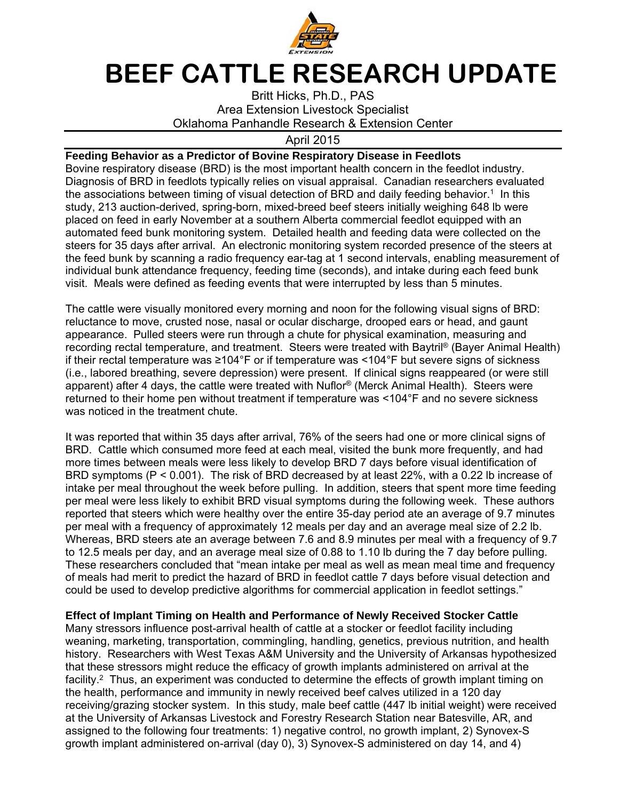

## **BEEF CATTLE RESEARCH UPDATE**

Britt Hicks, Ph.D., PAS Area Extension Livestock Specialist Oklahoma Panhandle Research & Extension Center

## April 2015

## **Feeding Behavior as a Predictor of Bovine Respiratory Disease in Feedlots**

Bovine respiratory disease (BRD) is the most important health concern in the feedlot industry. Diagnosis of BRD in feedlots typically relies on visual appraisal. Canadian researchers evaluated the associations between timing of visual detection of BRD and daily feeding behavior.<sup>1</sup> In this study, 213 auction-derived, spring-born, mixed-breed beef steers initially weighing 648 lb were placed on feed in early November at a southern Alberta commercial feedlot equipped with an automated feed bunk monitoring system. Detailed health and feeding data were collected on the steers for 35 days after arrival. An electronic monitoring system recorded presence of the steers at the feed bunk by scanning a radio frequency ear-tag at 1 second intervals, enabling measurement of individual bunk attendance frequency, feeding time (seconds), and intake during each feed bunk visit. Meals were defined as feeding events that were interrupted by less than 5 minutes.

The cattle were visually monitored every morning and noon for the following visual signs of BRD: reluctance to move, crusted nose, nasal or ocular discharge, drooped ears or head, and gaunt appearance. Pulled steers were run through a chute for physical examination, measuring and recording rectal temperature, and treatment. Steers were treated with Baytril<sup>®</sup> (Bayer Animal Health) if their rectal temperature was ≥104°F or if temperature was <104°F but severe signs of sickness (i.e., labored breathing, severe depression) were present. If clinical signs reappeared (or were still apparent) after 4 days, the cattle were treated with Nuflor® (Merck Animal Health). Steers were returned to their home pen without treatment if temperature was <104°F and no severe sickness was noticed in the treatment chute.

It was reported that within 35 days after arrival, 76% of the seers had one or more clinical signs of BRD. Cattle which consumed more feed at each meal, visited the bunk more frequently, and had more times between meals were less likely to develop BRD 7 days before visual identification of BRD symptoms (P < 0.001). The risk of BRD decreased by at least 22%, with a 0.22 lb increase of intake per meal throughout the week before pulling. In addition, steers that spent more time feeding per meal were less likely to exhibit BRD visual symptoms during the following week. These authors reported that steers which were healthy over the entire 35-day period ate an average of 9.7 minutes per meal with a frequency of approximately 12 meals per day and an average meal size of 2.2 lb. Whereas, BRD steers ate an average between 7.6 and 8.9 minutes per meal with a frequency of 9.7 to 12.5 meals per day, and an average meal size of 0.88 to 1.10 lb during the 7 day before pulling. These researchers concluded that "mean intake per meal as well as mean meal time and frequency of meals had merit to predict the hazard of BRD in feedlot cattle 7 days before visual detection and could be used to develop predictive algorithms for commercial application in feedlot settings."

## **Effect of Implant Timing on Health and Performance of Newly Received Stocker Cattle**

Many stressors influence post-arrival health of cattle at a stocker or feedlot facility including weaning, marketing, transportation, commingling, handling, genetics, previous nutrition, and health history. Researchers with West Texas A&M University and the University of Arkansas hypothesized that these stressors might reduce the efficacy of growth implants administered on arrival at the facility.<sup>2</sup> Thus, an experiment was conducted to determine the effects of growth implant timing on the health, performance and immunity in newly received beef calves utilized in a 120 day receiving/grazing stocker system. In this study, male beef cattle (447 lb initial weight) were received at the University of Arkansas Livestock and Forestry Research Station near Batesville, AR, and assigned to the following four treatments: 1) negative control, no growth implant, 2) Synovex-S growth implant administered on-arrival (day 0), 3) Synovex-S administered on day 14, and 4)